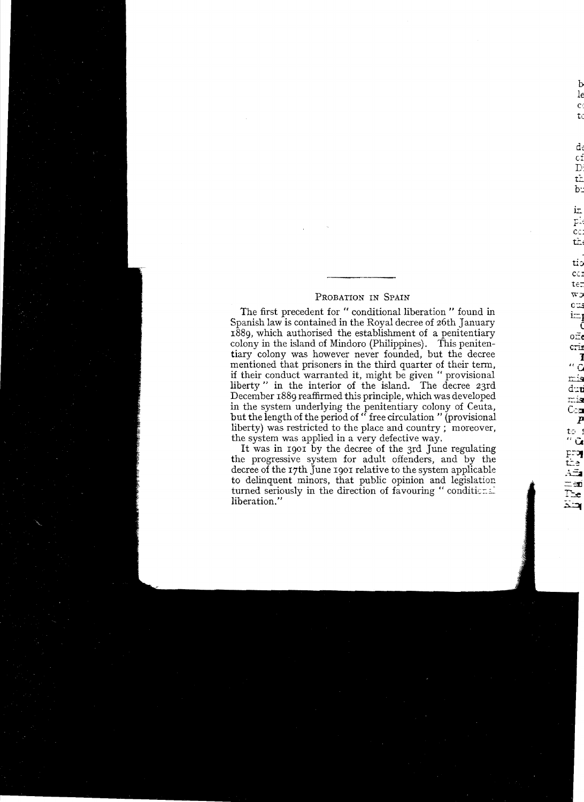## PROBATION IN SPAIN

The first precedent for "conditional liberation" found in Spanish law is contained in the Royal decree of 26th January 1889, which authorised the establishment of a penitentiary colony in the island of Mindoro (Philippines). This penitentiary colony was however never founded, but the decree mentioned that prisoners in the third quarter of their term, if their conduct warranted it, might be given "provisional liberty" in the interior of the island. The decree 23rd December 1889 reaffirmed this principle, which was developed in the system underlying the penitentiary colony of Ceuta,<br>but the length of the period of "free circulation " (provisional liberty) was restricted to the place and country; moreover, the system was applied in a very defective way.

It was in 1901 by the decree of the 3rd June regulating the progressive system for adult offenders, and by the decree of the 17th June 1901 relative to the system applicable to delinquent minors, that public opinion and legislation turned seriously in the direction of favouring "conditional" liberation."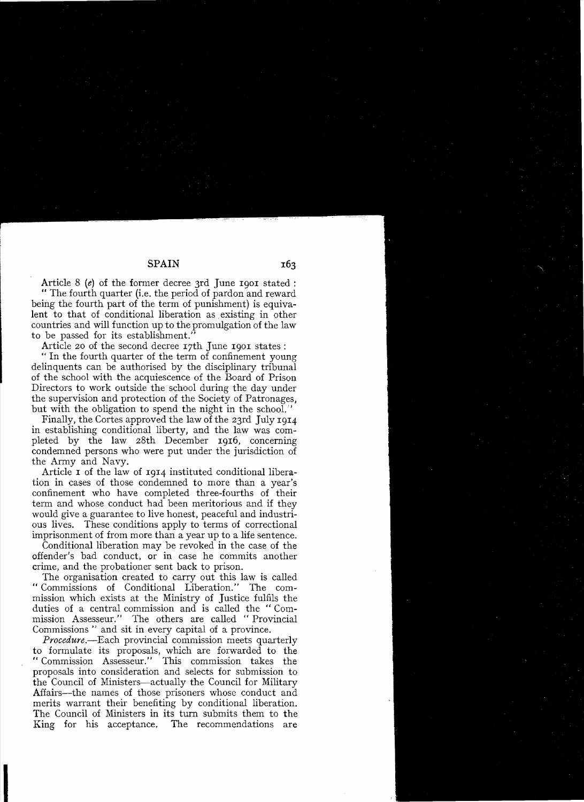Article 8 (e) of the former decree 3rd June 1901 stated : " The fourth quarter (i.e. the period of pardon and reward being the fourth part of the term of punishment) is equivalent to that of conditional liberation as existing in other countries and will function up to the promulgation of the law to be passed for its establishment."

Article 20 of the second decree 17th June 1901 states:

" In the fourth quarter of the term of confinement young delinquents can be authorised by the disciplinary tribunal of the school with the acquiescence of the Board of Prison Directors to work outside the school during the day under the supervision and protection of the Society of Patronages, but with the obligation to spend the night in the school."

Finally, the Cortes approved the law of the 23rd July 1914 in establishing conditional liberty, and the law was completed by the law 28th December 1916, concerning condemned persons who were put under the jurisdiction of the Army and Navy.

Article I of the law of 1914 instituted conditional liberation in cases of those condemned to more than a year's confinement who have completed three-fourths of their term and whose conduct had been meritorious and if they would give a guarantee to live honest, peaceful and industrious lives. These conditions apply to terms of correctional imprisonment of from more than a year up to a life sentence.

Conditional liberation may be revoked in the case of the offender's bad conduct, or in case he commits another crime, and the probationer sent back to prison.

The organisation created to carry out this law is called "Commissions of Conditional Liberation." The commission which exists at the Ministry of Justice fulfils the duties of a central commission and is called the "Commission Assesseur." The others are called "Provincial Commissions " and sit in every capital of a province.

*Procedure.-Each* provincial commission meets quarterly to formulate its proposals, which are forwarded to the "Commission Assesseur." This commission takes the proposals into consideration and selects for submission to the Council of Ministers-actually the Council for Military Affairs-the names of those prisoners whose conduct and merits warrant their benefiting by conditional liberation. The Council of Ministers in its turn submits them to the King for his acceptance. The recommendations are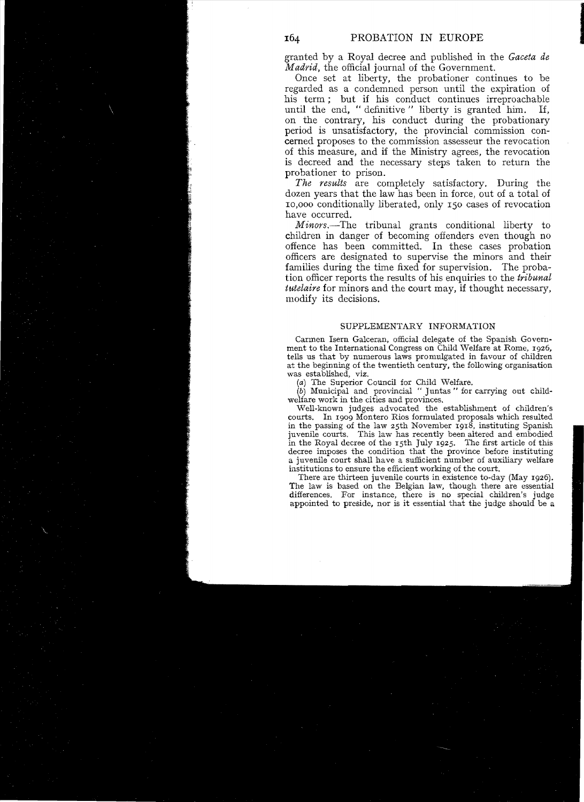granted by a Royal decree and published in tbe *Gaceta de Madrid,* the official journalof the Government.

Once set at liberty, the probationer continues to be regarded as a condemned person until the expiration of his term; but if his conduct continues irreproachable<br>until the end. "definitive" liberty is granted him. If until the end, "definitive" liberty is granted him. on tbe contrary, his conduct during the probationary period is unsatisfactory, the provincial commission concerned proposes to the commission assesseur the revocation of this measure, and if the Ministry agrees, the revocation is decreed and the necessary steps taken to return the probationer to prison.

*The results* are completely satisfactory. During the dozen years that the law has been in force, out of a total of 10,000 conditionally liberated, only 150 cases of revocation have occurred.

*Minors.-The* tribunal grants conditional liberty to children in danger of becoming offenders even though no offence has been committed. In these cases probation officers are designated to supervise the minors and their families during the time fixed for supervision. The probation officer reports the results of his enquiries to the *tribunal tutelaire* for minors and the court may, if thought necessary, modify its decisions.

## SUPPLEMENTARY INFORMATION

Carmen Isern Ga1ceran, official delegate of the Spanish Government to the International Congress on Child Welfare at Rome, 1926, tells us that by numerous laws promulgated in favour of children at the beginning of the twentieth century, the following organisation was established, viz.

(a) The Superior Couneil for Child Welfare.

(b) Municipal and provincial " Juntas " for earrying out childwelfare work in the eities and provinces.

Well-known judges advoeated the establishment of ehildren's courts. In 1909 Montero Rios formulated proposals which resulted in the passing of the law 25th November 1918, instituting Spanish juvenile courts. This law has recently been altered and embodied in the Royal decree of the 15th July 1925. The first article of this decree imposes the condition that the provinee before instituting a juvenile court shall have a sufficient number of auxiliary welfare institutions to ensure the efficient working of the court.

There are thirteen juvenile eourts in existence to-day (May 1926). The law is based on the Belgian law, though there are essential differences. For instanee, there is no special children's judge appointed to preside, nor is it essential that the judge should be a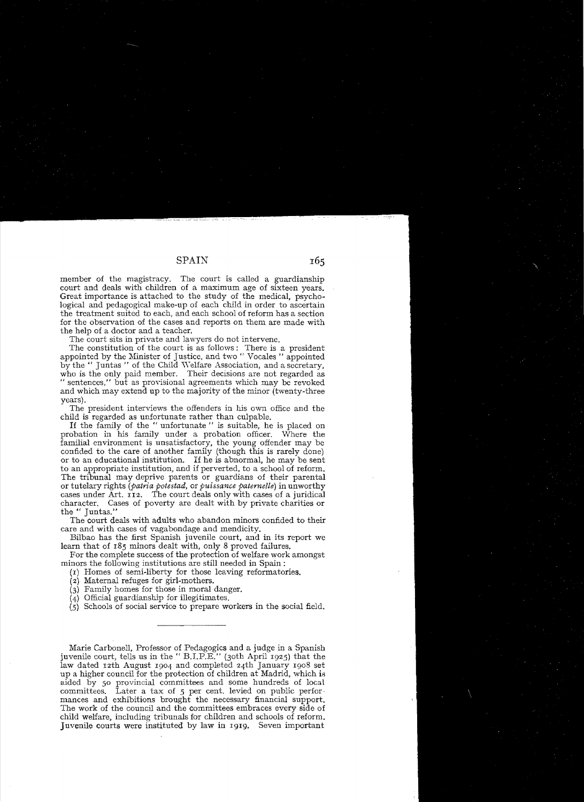member of the magistracy. The court is called a guardianship court and deals with children of a maximum age of sixteen years. Great importance is attached to the study of the medical, psychological and pedagogical make-up of each child in order to ascertain the treatment suited to each, and each school of reform has a section for the observation of the cases and reports on them are made with the help of a doctor and a teacher.

The court sits in private and lawyers do not intervene.

The constitution of the court is as follows: There is a president appointed by the Minister of Justice, and two " Vocales " appointed by the " Juntas " of the Child Welfare Association, and a secretary, who is the only paid member. Their decisions are not regarded as " sentences," but as provisional agreements which may be revoked and whieh may extend up to the majority of the minor (twenty-three years).

The president interviews the offenders in his own office and the child is regarded as unfortunate rather than culpabIe.

If the family of the " unfortunate " is suitable, he is placed on probation in his family under a probation officer. Where the familial environment is unsatisfactory, the young offender may be confided to the care of another family (though this is rarely done) or to an educational institution. If he is abnormal, he may be sent to an appropriate institution, and if perverted, to a school of reform. The tribunal may deprive parents or guardians of their or tutelary *(Patria potestad,* or *puissance paternelle)* in unworthy cases under Art. 112. The court deals only with cases of a juridical character. Cases of poverty are dealt with by private charities or the " Juntas."

The court deals with adults who abandon minors confided to their care and with cases of vagabondage and mendicity.

Bilbao has the first Spanish juvenile court, and in its report we learn that of 185 minors dealt with, only 8 proved failures.

For the complete success of the protection of welfare work amongst minors the following institutions are still needed in Spain:

(r) Homes of semi-liberty for those leaving reformatories.

(2) Maternal refuges for girl-mothers.

(3) Family homes *ior* those in moml danger.

(4) Official guardianship for illegitimates.

(5) Schools of sodal service to prepare workers in the sodal field.

Matie Carbonell, Professor of Pedagogics and a judge in a Spanish juvenile court, tells us in the " B.I.P.E." (3oth April 1925) that the law dated 12th August 1904 and completed 24th January 1908 set up a higher council for the protection of children at Madrid, which is aided by 50 provincial committees and some hundreds of local committees. Later a tax of 5 per cent. levied on public performances and exhibitions brought the necessary financial support. The work of the council and the committees embraces every side of child welfare, including tribunals for children and schools of reform. ]uvenile courts were instituted by law in 1919. Seven important